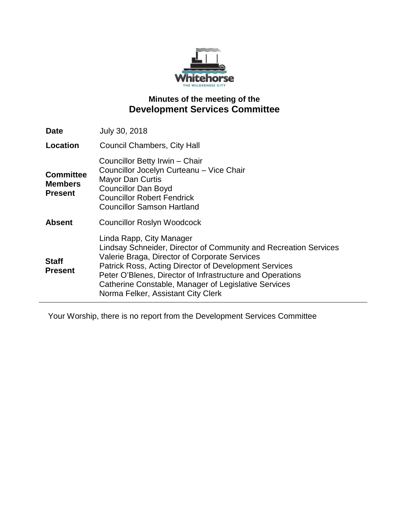

# **Minutes of the meeting of the Development Services Committee**

| <b>Date</b>                                          | July 30, 2018                                                                                                                                                                                                                                                                                                                                                     |
|------------------------------------------------------|-------------------------------------------------------------------------------------------------------------------------------------------------------------------------------------------------------------------------------------------------------------------------------------------------------------------------------------------------------------------|
| Location                                             | <b>Council Chambers, City Hall</b>                                                                                                                                                                                                                                                                                                                                |
| <b>Committee</b><br><b>Members</b><br><b>Present</b> | Councillor Betty Irwin - Chair<br>Councillor Jocelyn Curteanu - Vice Chair<br><b>Mayor Dan Curtis</b><br><b>Councillor Dan Boyd</b><br><b>Councillor Robert Fendrick</b><br><b>Councillor Samson Hartland</b>                                                                                                                                                     |
| <b>Absent</b>                                        | <b>Councillor Roslyn Woodcock</b>                                                                                                                                                                                                                                                                                                                                 |
| <b>Staff</b><br><b>Present</b>                       | Linda Rapp, City Manager<br>Lindsay Schneider, Director of Community and Recreation Services<br>Valerie Braga, Director of Corporate Services<br>Patrick Ross, Acting Director of Development Services<br>Peter O'Blenes, Director of Infrastructure and Operations<br>Catherine Constable, Manager of Legislative Services<br>Norma Felker, Assistant City Clerk |

Your Worship, there is no report from the Development Services Committee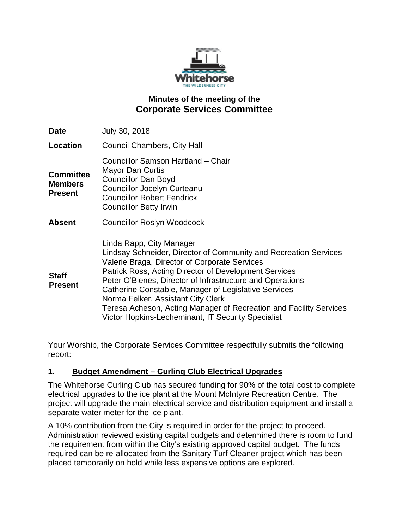

# **Minutes of the meeting of the Corporate Services Committee**

| <b>Date</b>                                          | July 30, 2018                                                                                                                                                                                                                                                                                                                                                                                                                                                                                        |
|------------------------------------------------------|------------------------------------------------------------------------------------------------------------------------------------------------------------------------------------------------------------------------------------------------------------------------------------------------------------------------------------------------------------------------------------------------------------------------------------------------------------------------------------------------------|
| Location                                             | Council Chambers, City Hall                                                                                                                                                                                                                                                                                                                                                                                                                                                                          |
| <b>Committee</b><br><b>Members</b><br><b>Present</b> | Councillor Samson Hartland - Chair<br>Mayor Dan Curtis<br><b>Councillor Dan Boyd</b><br>Councillor Jocelyn Curteanu<br><b>Councillor Robert Fendrick</b><br><b>Councillor Betty Irwin</b>                                                                                                                                                                                                                                                                                                            |
| <b>Absent</b>                                        | <b>Councillor Roslyn Woodcock</b>                                                                                                                                                                                                                                                                                                                                                                                                                                                                    |
| <b>Staff</b><br><b>Present</b>                       | Linda Rapp, City Manager<br>Lindsay Schneider, Director of Community and Recreation Services<br>Valerie Braga, Director of Corporate Services<br><b>Patrick Ross, Acting Director of Development Services</b><br>Peter O'Blenes, Director of Infrastructure and Operations<br>Catherine Constable, Manager of Legislative Services<br>Norma Felker, Assistant City Clerk<br>Teresa Acheson, Acting Manager of Recreation and Facility Services<br>Victor Hopkins-Lecheminant, IT Security Specialist |

Your Worship, the Corporate Services Committee respectfully submits the following report:

## **1. Budget Amendment – Curling Club Electrical Upgrades**

The Whitehorse Curling Club has secured funding for 90% of the total cost to complete electrical upgrades to the ice plant at the Mount McIntyre Recreation Centre. The project will upgrade the main electrical service and distribution equipment and install a separate water meter for the ice plant.

A 10% contribution from the City is required in order for the project to proceed. Administration reviewed existing capital budgets and determined there is room to fund the requirement from within the City's existing approved capital budget. The funds required can be re-allocated from the Sanitary Turf Cleaner project which has been placed temporarily on hold while less expensive options are explored.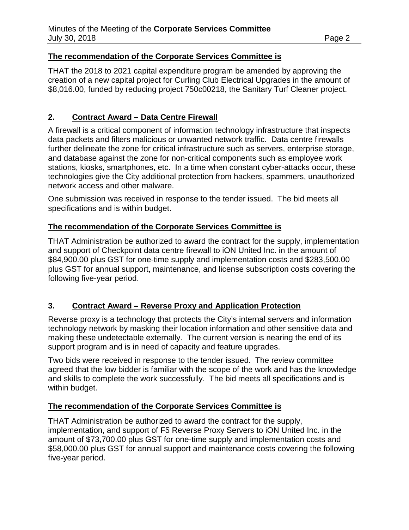## **The recommendation of the Corporate Services Committee is**

THAT the 2018 to 2021 capital expenditure program be amended by approving the creation of a new capital project for Curling Club Electrical Upgrades in the amount of \$8,016.00, funded by reducing project 750c00218, the Sanitary Turf Cleaner project.

# **2. Contract Award – Data Centre Firewall**

A firewall is a critical component of information technology infrastructure that inspects data packets and filters malicious or unwanted network traffic. Data centre firewalls further delineate the zone for critical infrastructure such as servers, enterprise storage, and database against the zone for non-critical components such as employee work stations, kiosks, smartphones, etc. In a time when constant cyber-attacks occur, these technologies give the City additional protection from hackers, spammers, unauthorized network access and other malware.

One submission was received in response to the tender issued. The bid meets all specifications and is within budget.

# **The recommendation of the Corporate Services Committee is**

THAT Administration be authorized to award the contract for the supply, implementation and support of Checkpoint data centre firewall to iON United Inc. in the amount of \$84,900.00 plus GST for one-time supply and implementation costs and \$283,500.00 plus GST for annual support, maintenance, and license subscription costs covering the following five-year period.

# **3. Contract Award – Reverse Proxy and Application Protection**

Reverse proxy is a technology that protects the City's internal servers and information technology network by masking their location information and other sensitive data and making these undetectable externally. The current version is nearing the end of its support program and is in need of capacity and feature upgrades.

Two bids were received in response to the tender issued. The review committee agreed that the low bidder is familiar with the scope of the work and has the knowledge and skills to complete the work successfully. The bid meets all specifications and is within budget.

# **The recommendation of the Corporate Services Committee is**

THAT Administration be authorized to award the contract for the supply, implementation, and support of F5 Reverse Proxy Servers to iON United Inc. in the amount of \$73,700.00 plus GST for one-time supply and implementation costs and \$58,000.00 plus GST for annual support and maintenance costs covering the following five-year period.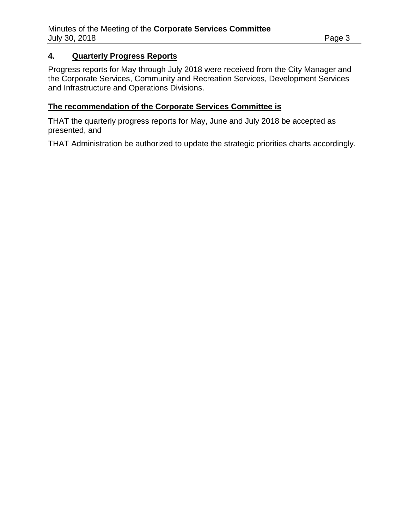#### **4. Quarterly Progress Reports**

Progress reports for May through July 2018 were received from the City Manager and the Corporate Services, Community and Recreation Services, Development Services and Infrastructure and Operations Divisions.

#### **The recommendation of the Corporate Services Committee is**

THAT the quarterly progress reports for May, June and July 2018 be accepted as presented, and

THAT Administration be authorized to update the strategic priorities charts accordingly.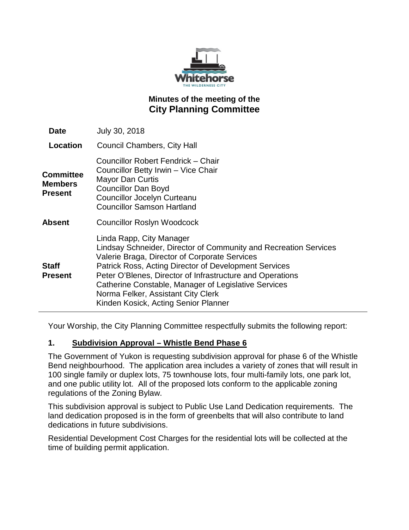

# **Minutes of the meeting of the City Planning Committee**

| <b>Date</b>                            | July 30, 2018                                                                                                                                                                                                                                                                                                                                                                                             |
|----------------------------------------|-----------------------------------------------------------------------------------------------------------------------------------------------------------------------------------------------------------------------------------------------------------------------------------------------------------------------------------------------------------------------------------------------------------|
| Location                               | Council Chambers, City Hall                                                                                                                                                                                                                                                                                                                                                                               |
| Committee<br><b>Members</b><br>Present | Councillor Robert Fendrick - Chair<br>Councillor Betty Irwin - Vice Chair<br><b>Mayor Dan Curtis</b><br><b>Councillor Dan Boyd</b><br>Councillor Jocelyn Curteanu<br><b>Councillor Samson Hartland</b>                                                                                                                                                                                                    |
| Absent                                 | <b>Councillor Roslyn Woodcock</b>                                                                                                                                                                                                                                                                                                                                                                         |
| Staff<br>Present                       | Linda Rapp, City Manager<br>Lindsay Schneider, Director of Community and Recreation Services<br>Valerie Braga, Director of Corporate Services<br>Patrick Ross, Acting Director of Development Services<br>Peter O'Blenes, Director of Infrastructure and Operations<br>Catherine Constable, Manager of Legislative Services<br>Norma Felker, Assistant City Clerk<br>Kinden Kosick, Acting Senior Planner |

Your Worship, the City Planning Committee respectfully submits the following report:

## **1. Subdivision Approval – Whistle Bend Phase 6**

The Government of Yukon is requesting subdivision approval for phase 6 of the Whistle Bend neighbourhood. The application area includes a variety of zones that will result in 100 single family or duplex lots, 75 townhouse lots, four multi-family lots, one park lot, and one public utility lot. All of the proposed lots conform to the applicable zoning regulations of the Zoning Bylaw.

This subdivision approval is subject to Public Use Land Dedication requirements. The land dedication proposed is in the form of greenbelts that will also contribute to land dedications in future subdivisions.

Residential Development Cost Charges for the residential lots will be collected at the time of building permit application.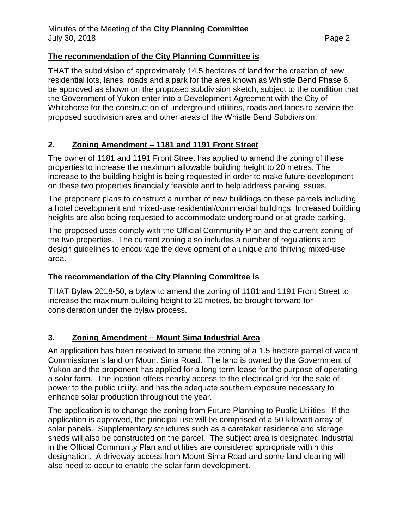# **The recommendation of the City Planning Committee is**

THAT the subdivision of approximately 14.5 hectares of land for the creation of new residential lots, lanes, roads and a park for the area known as Whistle Bend Phase 6, be approved as shown on the proposed subdivision sketch, subject to the condition that the Government of Yukon enter into a Development Agreement with the City of Whitehorse for the construction of underground utilities, roads and lanes to service the proposed subdivision area and other areas of the Whistle Bend Subdivision.

# **2. Zoning Amendment – 1181 and 1191 Front Street**

The owner of 1181 and 1191 Front Street has applied to amend the zoning of these properties to increase the maximum allowable building height to 20 metres. The increase to the building height is being requested in order to make future development on these two properties financially feasible and to help address parking issues.

The proponent plans to construct a number of new buildings on these parcels including a hotel development and mixed-use residential/commercial buildings. Increased building heights are also being requested to accommodate underground or at-grade parking.

The proposed uses comply with the Official Community Plan and the current zoning of the two properties. The current zoning also includes a number of regulations and design guidelines to encourage the development of a unique and thriving mixed-use area.

## **The recommendation of the City Planning Committee is**

THAT Bylaw 2018-50, a bylaw to amend the zoning of 1181 and 1191 Front Street to increase the maximum building height to 20 metres, be brought forward for consideration under the bylaw process.

## **3. Zoning Amendment – Mount Sima Industrial Area**

An application has been received to amend the zoning of a 1.5 hectare parcel of vacant Commissioner's land on Mount Sima Road. The land is owned by the Government of Yukon and the proponent has applied for a long term lease for the purpose of operating a solar farm. The location offers nearby access to the electrical grid for the sale of power to the public utility, and has the adequate southern exposure necessary to enhance solar production throughout the year.

The application is to change the zoning from Future Planning to Public Utilities. If the application is approved, the principal use will be comprised of a 50-kilowatt array of solar panels. Supplementary structures such as a caretaker residence and storage sheds will also be constructed on the parcel. The subject area is designated Industrial in the Official Community Plan and utilities are considered appropriate within this designation. A driveway access from Mount Sima Road and some land clearing will also need to occur to enable the solar farm development.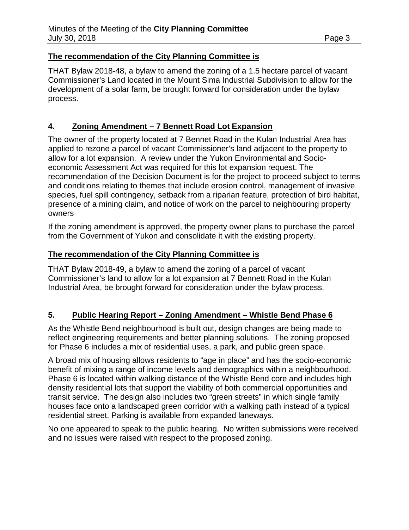## **The recommendation of the City Planning Committee is**

THAT Bylaw 2018-48, a bylaw to amend the zoning of a 1.5 hectare parcel of vacant Commissioner's Land located in the Mount Sima Industrial Subdivision to allow for the development of a solar farm, be brought forward for consideration under the bylaw process.

## **4. Zoning Amendment – 7 Bennett Road Lot Expansion**

The owner of the property located at 7 Bennet Road in the Kulan Industrial Area has applied to rezone a parcel of vacant Commissioner's land adjacent to the property to allow for a lot expansion. A review under the Yukon Environmental and Socioeconomic Assessment Act was required for this lot expansion request. The recommendation of the Decision Document is for the project to proceed subject to terms and conditions relating to themes that include erosion control, management of invasive species, fuel spill contingency, setback from a riparian feature, protection of bird habitat, presence of a mining claim, and notice of work on the parcel to neighbouring property owners

If the zoning amendment is approved, the property owner plans to purchase the parcel from the Government of Yukon and consolidate it with the existing property.

## **The recommendation of the City Planning Committee is**

THAT Bylaw 2018-49, a bylaw to amend the zoning of a parcel of vacant Commissioner's land to allow for a lot expansion at 7 Bennett Road in the Kulan Industrial Area, be brought forward for consideration under the bylaw process.

## **5. Public Hearing Report – Zoning Amendment – Whistle Bend Phase 6**

As the Whistle Bend neighbourhood is built out, design changes are being made to reflect engineering requirements and better planning solutions. The zoning proposed for Phase 6 includes a mix of residential uses, a park, and public green space.

A broad mix of housing allows residents to "age in place" and has the socio-economic benefit of mixing a range of income levels and demographics within a neighbourhood. Phase 6 is located within walking distance of the Whistle Bend core and includes high density residential lots that support the viability of both commercial opportunities and transit service. The design also includes two "green streets" in which single family houses face onto a landscaped green corridor with a walking path instead of a typical residential street. Parking is available from expanded laneways.

No one appeared to speak to the public hearing. No written submissions were received and no issues were raised with respect to the proposed zoning.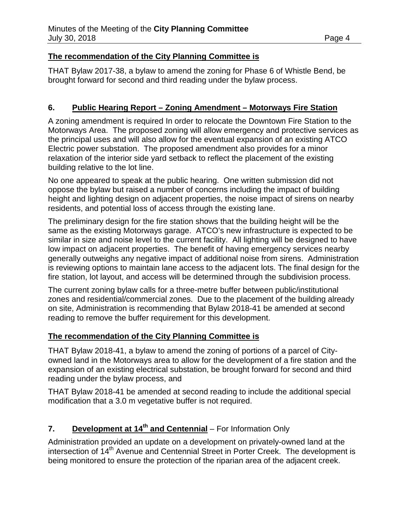## **The recommendation of the City Planning Committee is**

THAT Bylaw 2017-38, a bylaw to amend the zoning for Phase 6 of Whistle Bend, be brought forward for second and third reading under the bylaw process.

## **6. Public Hearing Report – Zoning Amendment – Motorways Fire Station**

A zoning amendment is required In order to relocate the Downtown Fire Station to the Motorways Area. The proposed zoning will allow emergency and protective services as the principal uses and will also allow for the eventual expansion of an existing ATCO Electric power substation. The proposed amendment also provides for a minor relaxation of the interior side yard setback to reflect the placement of the existing building relative to the lot line.

No one appeared to speak at the public hearing. One written submission did not oppose the bylaw but raised a number of concerns including the impact of building height and lighting design on adjacent properties, the noise impact of sirens on nearby residents, and potential loss of access through the existing lane.

The preliminary design for the fire station shows that the building height will be the same as the existing Motorways garage. ATCO's new infrastructure is expected to be similar in size and noise level to the current facility. All lighting will be designed to have low impact on adjacent properties. The benefit of having emergency services nearby generally outweighs any negative impact of additional noise from sirens. Administration is reviewing options to maintain lane access to the adjacent lots. The final design for the fire station, lot layout, and access will be determined through the subdivision process.

The current zoning bylaw calls for a three-metre buffer between public/institutional zones and residential/commercial zones. Due to the placement of the building already on site, Administration is recommending that Bylaw 2018-41 be amended at second reading to remove the buffer requirement for this development.

## **The recommendation of the City Planning Committee is**

THAT Bylaw 2018-41, a bylaw to amend the zoning of portions of a parcel of Cityowned land in the Motorways area to allow for the development of a fire station and the expansion of an existing electrical substation, be brought forward for second and third reading under the bylaw process, and

THAT Bylaw 2018-41 be amended at second reading to include the additional special modification that a 3.0 m vegetative buffer is not required.

# **7. Development at 14th and Centennial** – For Information Only

Administration provided an update on a development on privately-owned land at the intersection of 14<sup>th</sup> Avenue and Centennial Street in Porter Creek. The development is being monitored to ensure the protection of the riparian area of the adjacent creek.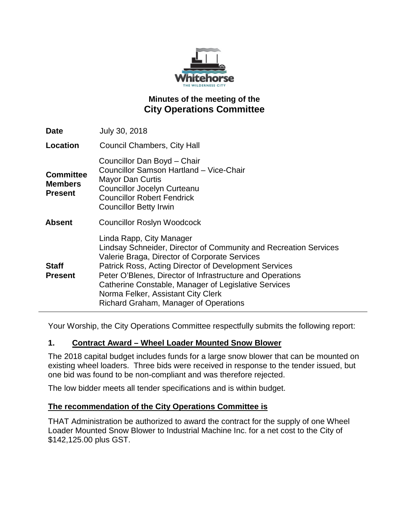

# **Minutes of the meeting of the City Operations Committee**

| <b>Date</b>                                          | July 30, 2018                                                                                                                                                                                                                                                                                                                                                                                              |
|------------------------------------------------------|------------------------------------------------------------------------------------------------------------------------------------------------------------------------------------------------------------------------------------------------------------------------------------------------------------------------------------------------------------------------------------------------------------|
| Location                                             | <b>Council Chambers, City Hall</b>                                                                                                                                                                                                                                                                                                                                                                         |
| <b>Committee</b><br><b>Members</b><br><b>Present</b> | Councillor Dan Boyd - Chair<br>Councillor Samson Hartland - Vice-Chair<br><b>Mayor Dan Curtis</b><br><b>Councillor Jocelyn Curteanu</b><br><b>Councillor Robert Fendrick</b><br><b>Councillor Betty Irwin</b>                                                                                                                                                                                              |
| <b>Absent</b>                                        | Councillor Roslyn Woodcock                                                                                                                                                                                                                                                                                                                                                                                 |
| <b>Staff</b><br><b>Present</b>                       | Linda Rapp, City Manager<br>Lindsay Schneider, Director of Community and Recreation Services<br>Valerie Braga, Director of Corporate Services<br>Patrick Ross, Acting Director of Development Services<br>Peter O'Blenes, Director of Infrastructure and Operations<br>Catherine Constable, Manager of Legislative Services<br>Norma Felker, Assistant City Clerk<br>Richard Graham, Manager of Operations |

Your Worship, the City Operations Committee respectfully submits the following report:

#### **1. Contract Award – Wheel Loader Mounted Snow Blower**

The 2018 capital budget includes funds for a large snow blower that can be mounted on existing wheel loaders. Three bids were received in response to the tender issued, but one bid was found to be non-compliant and was therefore rejected.

The low bidder meets all tender specifications and is within budget.

#### **The recommendation of the City Operations Committee is**

THAT Administration be authorized to award the contract for the supply of one Wheel Loader Mounted Snow Blower to Industrial Machine Inc. for a net cost to the City of \$142,125.00 plus GST.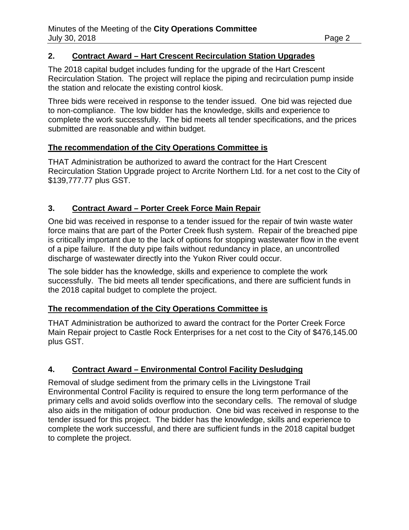## **2. Contract Award – Hart Crescent Recirculation Station Upgrades**

The 2018 capital budget includes funding for the upgrade of the Hart Crescent Recirculation Station. The project will replace the piping and recirculation pump inside the station and relocate the existing control kiosk.

Three bids were received in response to the tender issued. One bid was rejected due to non-compliance. The low bidder has the knowledge, skills and experience to complete the work successfully. The bid meets all tender specifications, and the prices submitted are reasonable and within budget.

## **The recommendation of the City Operations Committee is**

THAT Administration be authorized to award the contract for the Hart Crescent Recirculation Station Upgrade project to Arcrite Northern Ltd. for a net cost to the City of \$139,777.77 plus GST.

# **3. Contract Award – Porter Creek Force Main Repair**

One bid was received in response to a tender issued for the repair of twin waste water force mains that are part of the Porter Creek flush system. Repair of the breached pipe is critically important due to the lack of options for stopping wastewater flow in the event of a pipe failure. If the duty pipe fails without redundancy in place, an uncontrolled discharge of wastewater directly into the Yukon River could occur.

The sole bidder has the knowledge, skills and experience to complete the work successfully. The bid meets all tender specifications, and there are sufficient funds in the 2018 capital budget to complete the project.

# **The recommendation of the City Operations Committee is**

THAT Administration be authorized to award the contract for the Porter Creek Force Main Repair project to Castle Rock Enterprises for a net cost to the City of \$476,145.00 plus GST.

# **4. Contract Award – Environmental Control Facility Desludging**

Removal of sludge sediment from the primary cells in the Livingstone Trail Environmental Control Facility is required to ensure the long term performance of the primary cells and avoid solids overflow into the secondary cells. The removal of sludge also aids in the mitigation of odour production. One bid was received in response to the tender issued for this project. The bidder has the knowledge, skills and experience to complete the work successful, and there are sufficient funds in the 2018 capital budget to complete the project.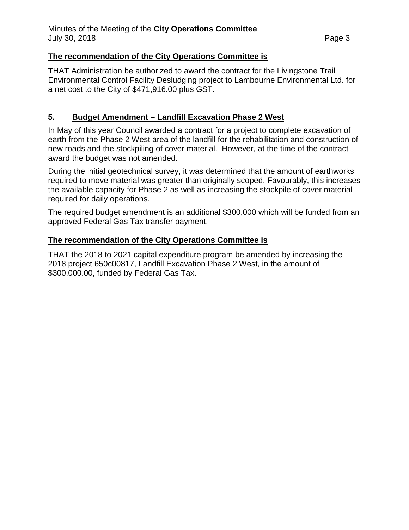## **The recommendation of the City Operations Committee is**

THAT Administration be authorized to award the contract for the Livingstone Trail Environmental Control Facility Desludging project to Lambourne Environmental Ltd. for a net cost to the City of \$471,916.00 plus GST.

## **5. Budget Amendment – Landfill Excavation Phase 2 West**

In May of this year Council awarded a contract for a project to complete excavation of earth from the Phase 2 West area of the landfill for the rehabilitation and construction of new roads and the stockpiling of cover material. However, at the time of the contract award the budget was not amended.

During the initial geotechnical survey, it was determined that the amount of earthworks required to move material was greater than originally scoped. Favourably, this increases the available capacity for Phase 2 as well as increasing the stockpile of cover material required for daily operations.

The required budget amendment is an additional \$300,000 which will be funded from an approved Federal Gas Tax transfer payment.

#### **The recommendation of the City Operations Committee is**

THAT the 2018 to 2021 capital expenditure program be amended by increasing the 2018 project 650c00817, Landfill Excavation Phase 2 West, in the amount of \$300,000.00, funded by Federal Gas Tax.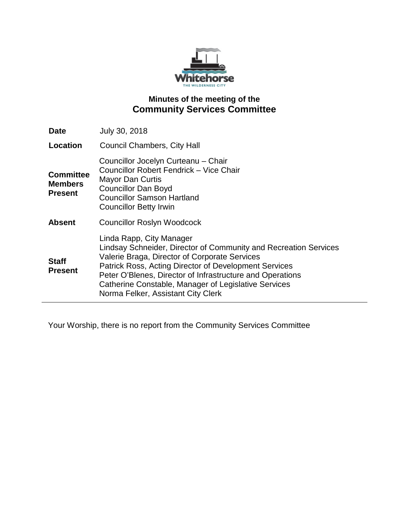

# **Minutes of the meeting of the Community Services Committee**

| <b>Date</b>                                          | July 30, 2018                                                                                                                                                                                                                                                                                                                                                     |
|------------------------------------------------------|-------------------------------------------------------------------------------------------------------------------------------------------------------------------------------------------------------------------------------------------------------------------------------------------------------------------------------------------------------------------|
| Location                                             | <b>Council Chambers, City Hall</b>                                                                                                                                                                                                                                                                                                                                |
| <b>Committee</b><br><b>Members</b><br><b>Present</b> | Councillor Jocelyn Curteanu - Chair<br>Councillor Robert Fendrick - Vice Chair<br><b>Mayor Dan Curtis</b><br><b>Councillor Dan Boyd</b><br><b>Councillor Samson Hartland</b><br><b>Councillor Betty Irwin</b>                                                                                                                                                     |
| <b>Absent</b>                                        | <b>Councillor Roslyn Woodcock</b>                                                                                                                                                                                                                                                                                                                                 |
| <b>Staff</b><br><b>Present</b>                       | Linda Rapp, City Manager<br>Lindsay Schneider, Director of Community and Recreation Services<br>Valerie Braga, Director of Corporate Services<br>Patrick Ross, Acting Director of Development Services<br>Peter O'Blenes, Director of Infrastructure and Operations<br>Catherine Constable, Manager of Legislative Services<br>Norma Felker, Assistant City Clerk |

Your Worship, there is no report from the Community Services Committee